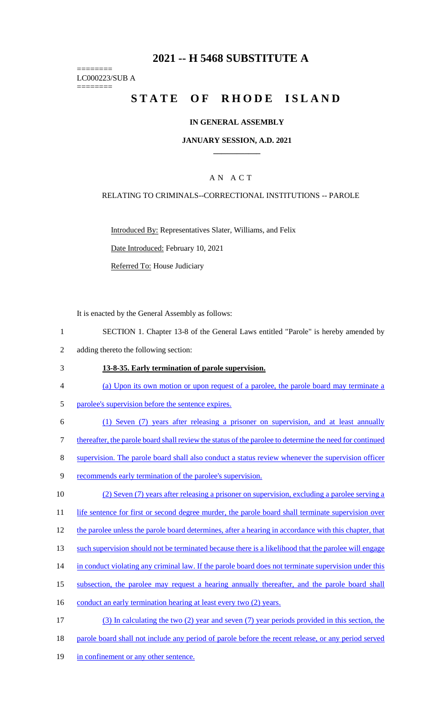# **2021 -- H 5468 SUBSTITUTE A**

======== LC000223/SUB A

========

# STATE OF RHODE ISLAND

#### **IN GENERAL ASSEMBLY**

#### **JANUARY SESSION, A.D. 2021 \_\_\_\_\_\_\_\_\_\_\_\_**

### A N A C T

#### RELATING TO CRIMINALS--CORRECTIONAL INSTITUTIONS -- PAROLE

Introduced By: Representatives Slater, Williams, and Felix

Date Introduced: February 10, 2021

Referred To: House Judiciary

It is enacted by the General Assembly as follows:

- 1 SECTION 1. Chapter 13-8 of the General Laws entitled "Parole" is hereby amended by
- 2 adding thereto the following section:

#### 3 **13-8-35. Early termination of parole supervision.**

- 4 (a) Upon its own motion or upon request of a parolee, the parole board may terminate a
- 5 parolee's supervision before the sentence expires.
- 6 (1) Seven (7) years after releasing a prisoner on supervision, and at least annually

7 thereafter, the parole board shall review the status of the parolee to determine the need for continued

8 supervision. The parole board shall also conduct a status review whenever the supervision officer

9 recommends early termination of the parolee's supervision.

10 (2) Seven (7) years after releasing a prisoner on supervision, excluding a parolee serving a

11 life sentence for first or second degree murder, the parole board shall terminate supervision over

- 12 the parolee unless the parole board determines, after a hearing in accordance with this chapter, that
- 13 such supervision should not be terminated because there is a likelihood that the parolee will engage
- 14 in conduct violating any criminal law. If the parole board does not terminate supervision under this
- 15 subsection, the parolee may request a hearing annually thereafter, and the parole board shall
- 16 conduct an early termination hearing at least every two (2) years.
- 17 (3) In calculating the two (2) year and seven (7) year periods provided in this section, the 18 parole board shall not include any period of parole before the recent release, or any period served
- 19 in confinement or any other sentence.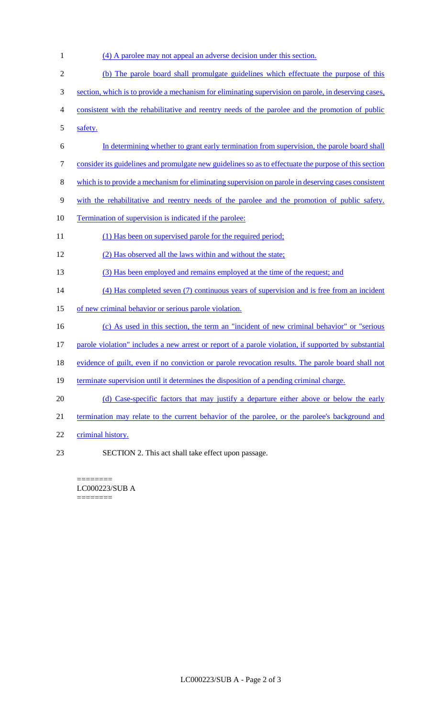(4) A parolee may not appeal an adverse decision under this section. (b) The parole board shall promulgate guidelines which effectuate the purpose of this section, which is to provide a mechanism for eliminating supervision on parole, in deserving cases, consistent with the rehabilitative and reentry needs of the parolee and the promotion of public safety. In determining whether to grant early termination from supervision, the parole board shall consider its guidelines and promulgate new guidelines so as to effectuate the purpose of this section which is to provide a mechanism for eliminating supervision on parole in deserving cases consistent with the rehabilitative and reentry needs of the parolee and the promotion of public safety. 10 Termination of supervision is indicated if the parolee: 11 (1) Has been on supervised parole for the required period; (2) Has observed all the laws within and without the state; (3) Has been employed and remains employed at the time of the request; and (4) Has completed seven (7) continuous years of supervision and is free from an incident of new criminal behavior or serious parole violation. (c) As used in this section, the term an "incident of new criminal behavior" or "serious parole violation" includes a new arrest or report of a parole violation, if supported by substantial 18 evidence of guilt, even if no conviction or parole revocation results. The parole board shall not 19 terminate supervision until it determines the disposition of a pending criminal charge. 20 (d) Case-specific factors that may justify a departure either above or below the early 21 termination may relate to the current behavior of the parolee, or the parolee's background and criminal history. SECTION 2. This act shall take effect upon passage.

======== LC000223/SUB A ========